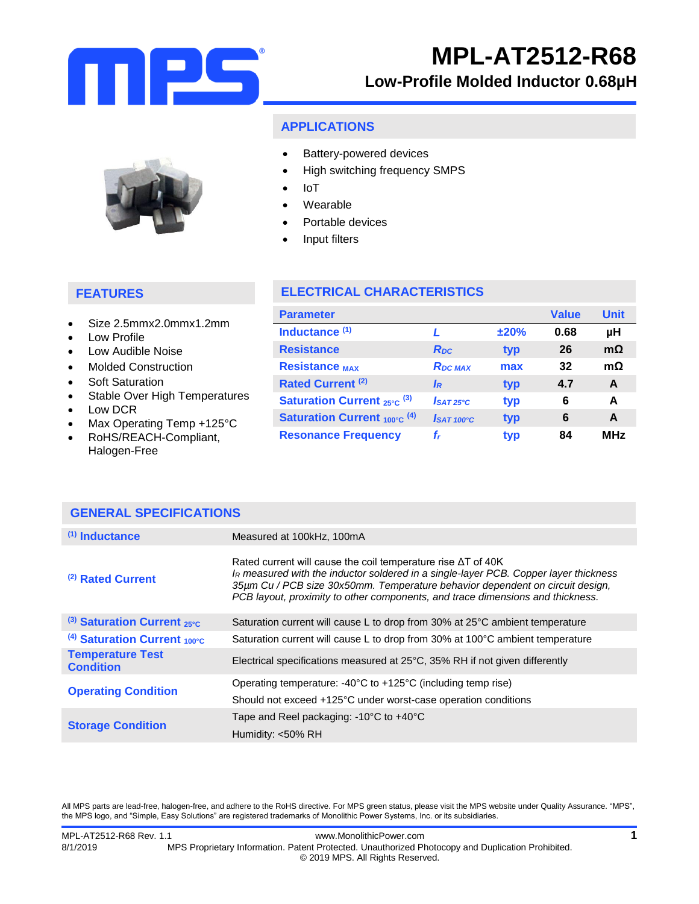

# **MPL-AT2512-R68**

## **Low-Profile Molded Inductor 0.68µH**

### **APPLICATIONS**

- Battery-powered devices
	- High switching frequency SMPS
- IoT
- Wearable
- Portable devices
- Input filters

## **FEATURES**

- Size 2.5mmx2.0mmx1.2mm
- Low Profile
- Low Audible Noise
- Molded Construction
- Soft Saturation
- Stable Over High Temperatures
- Low DCR
- Max Operating Temp +125°C
- RoHS/REACH-Compliant, Halogen-Free

## **ELECTRICAL CHARACTERISTICS**

| <b>Parameter</b>                             |                         |      | <b>Value</b> | <b>Unit</b> |
|----------------------------------------------|-------------------------|------|--------------|-------------|
| Inductance <sup>(1)</sup>                    |                         | ±20% | 0.68         | μH          |
| <b>Resistance</b>                            | <b>R</b> pc             | typ  | 26           | $m\Omega$   |
| <b>Resistance MAX</b>                        | <b>RDC MAX</b>          | max  | 32           | $m\Omega$   |
| Rated Current <sup>(2)</sup>                 | <b>IR</b>               | typ  | 4.7          | A           |
| <b>Saturation Current</b> $_{25\degree}$ (3) | $I$ SAT <sub>25°C</sub> | typ  | 6            | A           |
| <b>Saturation Current 100°C (4)</b>          | $\int$ SAT 100°C        | typ  | 6            | A           |
| <b>Resonance Frequency</b>                   | f,                      | typ  | 84           | <b>MHz</b>  |

| <b>GENERAL SPECIFICATIONS</b>               |                                                                                                                                                                                                                                                                                                                                 |  |
|---------------------------------------------|---------------------------------------------------------------------------------------------------------------------------------------------------------------------------------------------------------------------------------------------------------------------------------------------------------------------------------|--|
| $(1)$ Inductance                            | Measured at 100kHz, 100mA                                                                                                                                                                                                                                                                                                       |  |
| (2) Rated Current                           | Rated current will cause the coil temperature rise $\Delta T$ of 40K<br>IR measured with the inductor soldered in a single-layer PCB. Copper layer thickness<br>35µm Cu / PCB size 30x50mm. Temperature behavior dependent on circuit design,<br>PCB layout, proximity to other components, and trace dimensions and thickness. |  |
| $(3)$ Saturation Current 25°C               | Saturation current will cause L to drop from 30% at 25°C ambient temperature                                                                                                                                                                                                                                                    |  |
| $(4)$ Saturation Current 100°C              | Saturation current will cause L to drop from 30% at 100°C ambient temperature                                                                                                                                                                                                                                                   |  |
| <b>Temperature Test</b><br><b>Condition</b> | Electrical specifications measured at 25°C, 35% RH if not given differently                                                                                                                                                                                                                                                     |  |
| <b>Operating Condition</b>                  | Operating temperature: $-40^{\circ}$ C to $+125^{\circ}$ C (including temp rise)                                                                                                                                                                                                                                                |  |
|                                             | Should not exceed +125°C under worst-case operation conditions                                                                                                                                                                                                                                                                  |  |
| <b>Storage Condition</b>                    | Tape and Reel packaging: $-10^{\circ}$ C to $+40^{\circ}$ C                                                                                                                                                                                                                                                                     |  |
|                                             | Humidity: <50% RH                                                                                                                                                                                                                                                                                                               |  |

All MPS parts are lead-free, halogen-free, and adhere to the RoHS directive. For MPS green status, please visit the MPS website under Quality Assurance. "MPS", the MPS logo, and "Simple, Easy Solutions" are registered trademarks of Monolithic Power Systems, Inc. or its subsidiaries.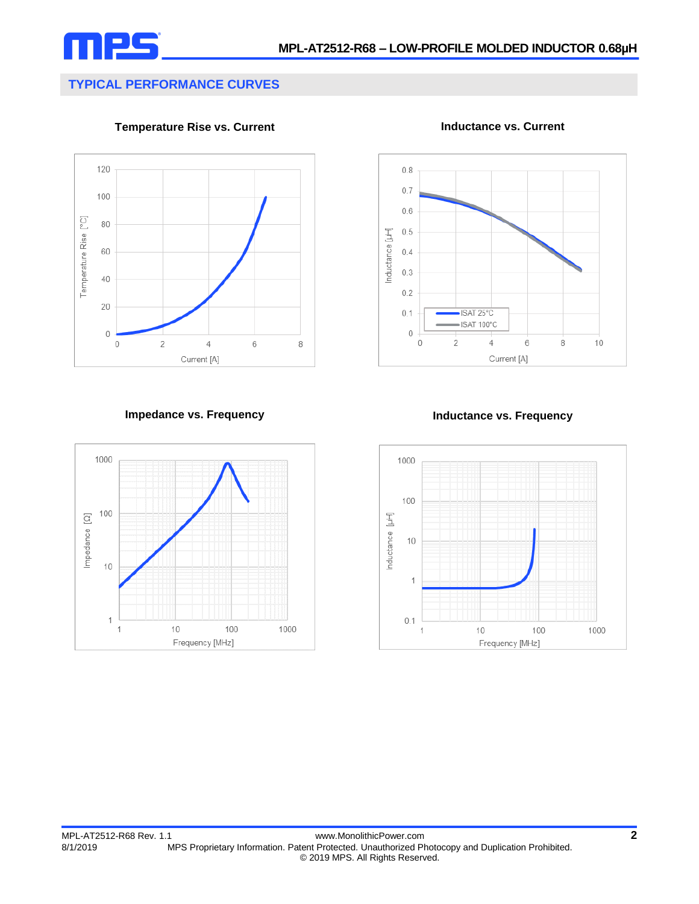

## **TYPICAL PERFORMANCE CURVES**

**Temperature Rise vs. Current**



**Inductance vs. Current**



### **Impedance vs. Frequency Inductance vs. Frequency**



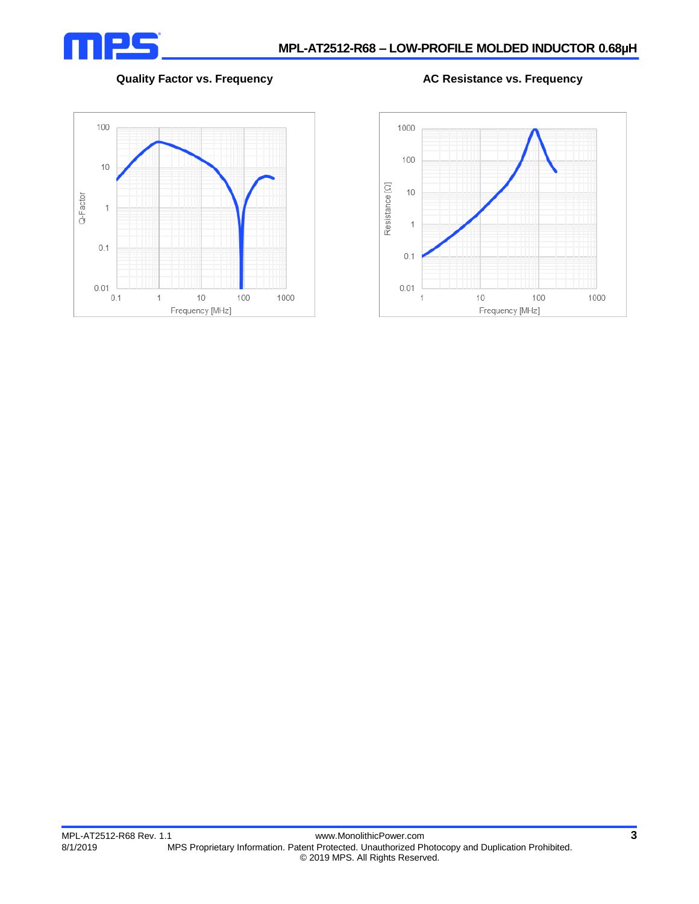

### **Quality Factor vs. Frequency AC Resistance vs. Frequency**



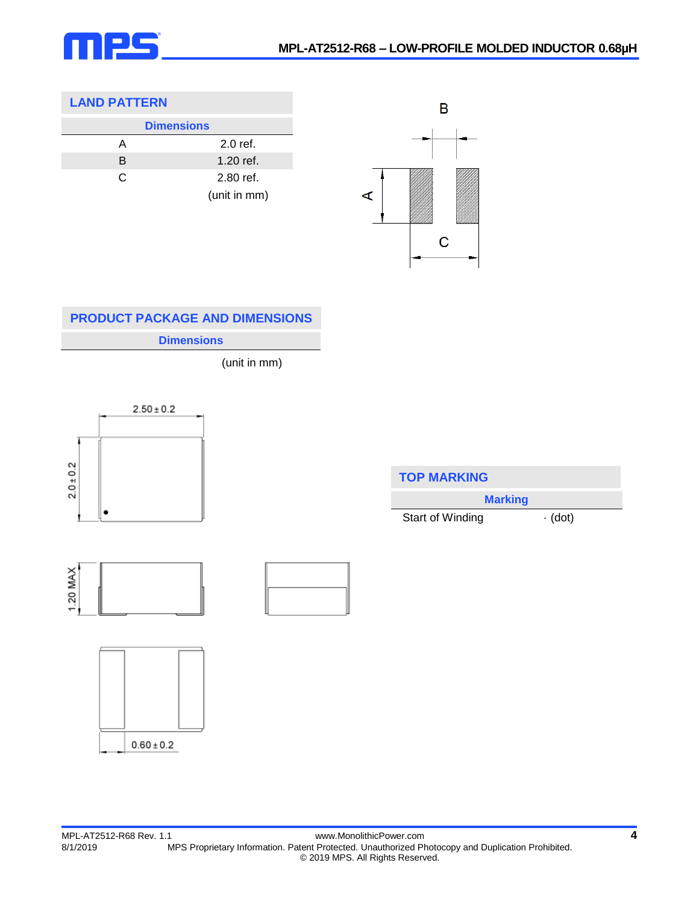

## **LAND PATTERN**

|   | <b>Dimensions</b> |  |
|---|-------------------|--|
| А | $2.0$ ref.        |  |
| B | 1.20 ref.         |  |
| C | 2.80 ref.         |  |
|   | (unit in mm)      |  |



## **PRODUCT PACKAGE AND DIMENSIONS**

**Dimensions**

(unit in mm)



| <b>TOP MARKING</b> |               |  |
|--------------------|---------------|--|
| <b>Marking</b>     |               |  |
| Start of Winding   | $\cdot$ (dot) |  |